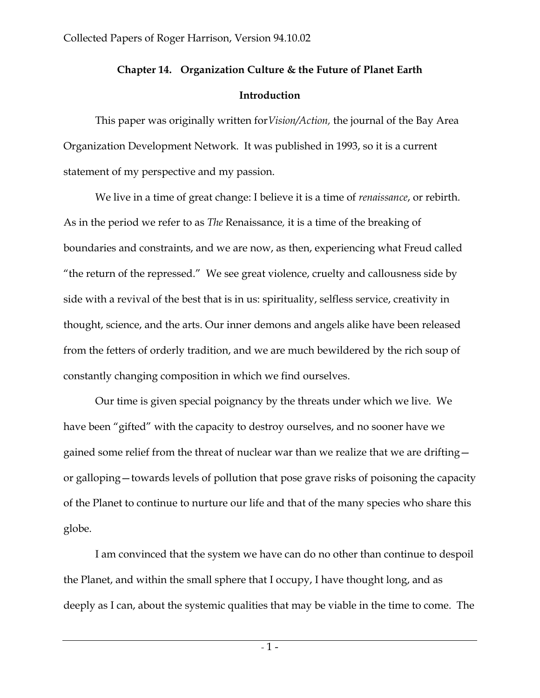# **Chapter 14. Organization Culture & the Future of Planet Earth Introduction**

This paper was originally written for*Vision/Action,* the journal of the Bay Area Organization Development Network. It was published in 1993, so it is a current statement of my perspective and my passion.

We live in a time of great change: I believe it is a time of *renaissance*, or rebirth. As in the period we refer to as *The* Renaissance*,* it is a time of the breaking of boundaries and constraints, and we are now, as then, experiencing what Freud called "the return of the repressed." We see great violence, cruelty and callousness side by side with a revival of the best that is in us: spirituality, selfless service, creativity in thought, science, and the arts. Our inner demons and angels alike have been released from the fetters of orderly tradition, and we are much bewildered by the rich soup of constantly changing composition in which we find ourselves.

Our time is given special poignancy by the threats under which we live. We have been "gifted" with the capacity to destroy ourselves, and no sooner have we gained some relief from the threat of nuclear war than we realize that we are drifting or galloping—towards levels of pollution that pose grave risks of poisoning the capacity of the Planet to continue to nurture our life and that of the many species who share this globe.

I am convinced that the system we have can do no other than continue to despoil the Planet, and within the small sphere that I occupy, I have thought long, and as deeply as I can, about the systemic qualities that may be viable in the time to come. The

*-* 1 -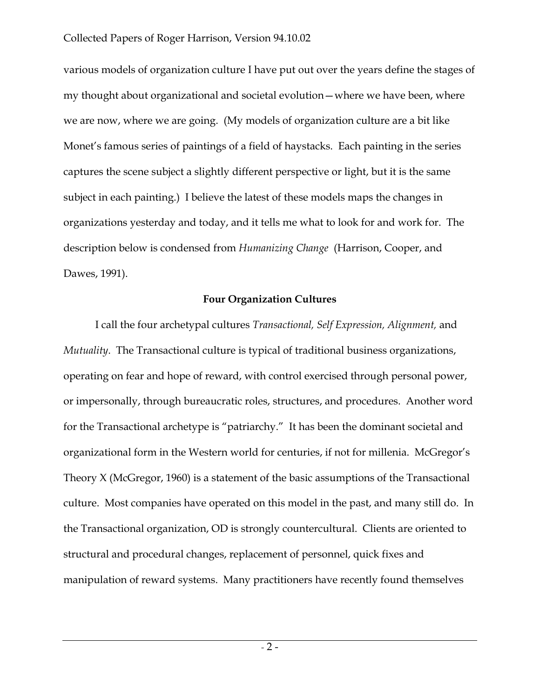various models of organization culture I have put out over the years define the stages of my thought about organizational and societal evolution—where we have been, where we are now, where we are going. (My models of organization culture are a bit like Monet's famous series of paintings of a field of haystacks. Each painting in the series captures the scene subject a slightly different perspective or light, but it is the same subject in each painting.) I believe the latest of these models maps the changes in organizations yesterday and today, and it tells me what to look for and work for. The description below is condensed from *Humanizing Change* (Harrison, Cooper, and Dawes, 1991).

### **Four Organization Cultures**

I call the four archetypal cultures *Transactional, Self Expression, Alignment,* and *Mutuality*. The Transactional culture is typical of traditional business organizations, operating on fear and hope of reward, with control exercised through personal power, or impersonally, through bureaucratic roles, structures, and procedures. Another word for the Transactional archetype is "patriarchy." It has been the dominant societal and organizational form in the Western world for centuries, if not for millenia. McGregor's Theory X (McGregor, 1960) is a statement of the basic assumptions of the Transactional culture. Most companies have operated on this model in the past, and many still do. In the Transactional organization, OD is strongly countercultural. Clients are oriented to structural and procedural changes, replacement of personnel, quick fixes and manipulation of reward systems. Many practitioners have recently found themselves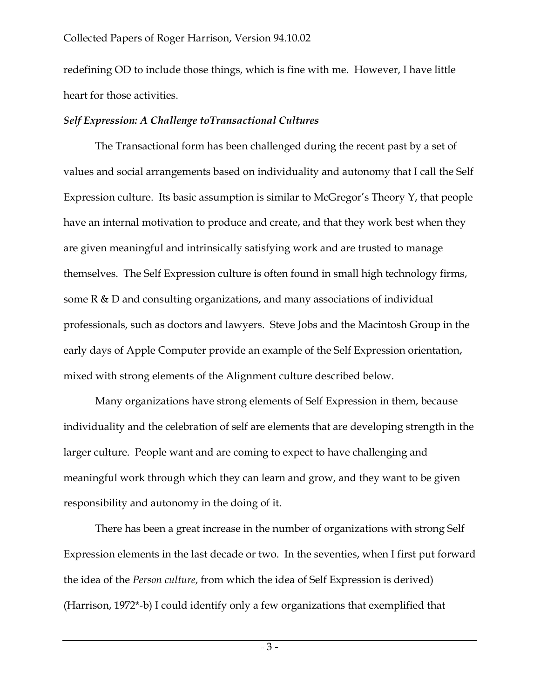redefining OD to include those things, which is fine with me. However, I have little heart for those activities.

### *Self Expression: A Challenge toTransactional Cultures*

The Transactional form has been challenged during the recent past by a set of values and social arrangements based on individuality and autonomy that I call the Self Expression culture. Its basic assumption is similar to McGregor's Theory Y, that people have an internal motivation to produce and create, and that they work best when they are given meaningful and intrinsically satisfying work and are trusted to manage themselves. The Self Expression culture is often found in small high technology firms, some R & D and consulting organizations, and many associations of individual professionals, such as doctors and lawyers. Steve Jobs and the Macintosh Group in the early days of Apple Computer provide an example of the Self Expression orientation, mixed with strong elements of the Alignment culture described below.

Many organizations have strong elements of Self Expression in them, because individuality and the celebration of self are elements that are developing strength in the larger culture. People want and are coming to expect to have challenging and meaningful work through which they can learn and grow, and they want to be given responsibility and autonomy in the doing of it.

There has been a great increase in the number of organizations with strong Self Expression elements in the last decade or two. In the seventies, when I first put forward the idea of the *Person culture*, from which the idea of Self Expression is derived) (Harrison, 1972\*-b) I could identify only a few organizations that exemplified that

*-* 3 -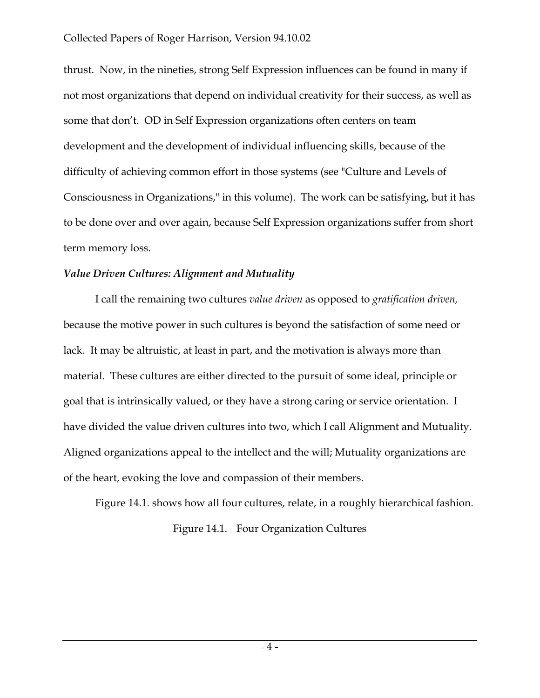thrust. Now, in the nineties, strong Self Expression influences can be found in many if not most organizations that depend on individual creativity for their success, as well as some that don't. OD in Self Expression organizations often centers on team development and the development of individual influencing skills, because of the difficulty of achieving common effort in those systems (see "Culture and Levels of Consciousness in Organizations," in this volume). The work can be satisfying, but it has to be done over and over again, because Self Expression organizations suffer from short term memory loss.

## *Value Driven Cultures: Alignment and Mutuality*

I call the remaining two cultures *value driven* as opposed to *gratification driven,*  because the motive power in such cultures is beyond the satisfaction of some need or lack. It may be altruistic, at least in part, and the motivation is always more than material. These cultures are either directed to the pursuit of some ideal, principle or goal that is intrinsically valued, or they have a strong caring or service orientation. I have divided the value driven cultures into two, which I call Alignment and Mutuality. Aligned organizations appeal to the intellect and the will; Mutuality organizations are of the heart, evoking the love and compassion of their members.

Figure 14.1. shows how all four cultures, relate, in a roughly hierarchical fashion. Figure 14.1. Four Organization Cultures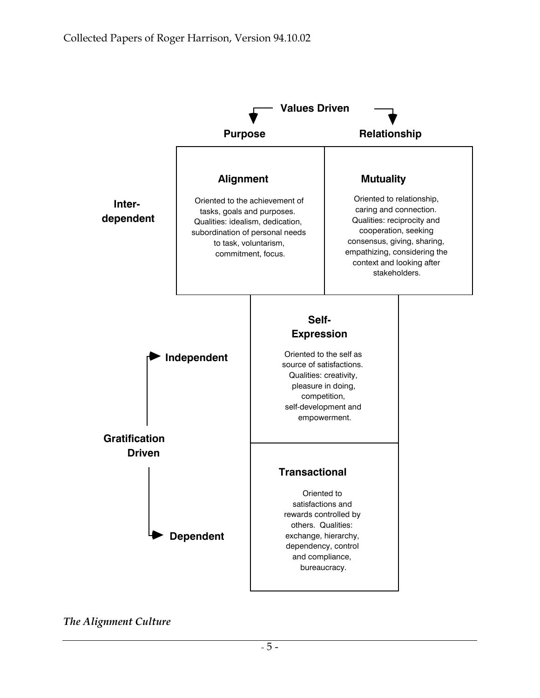

*The Alignment Culture*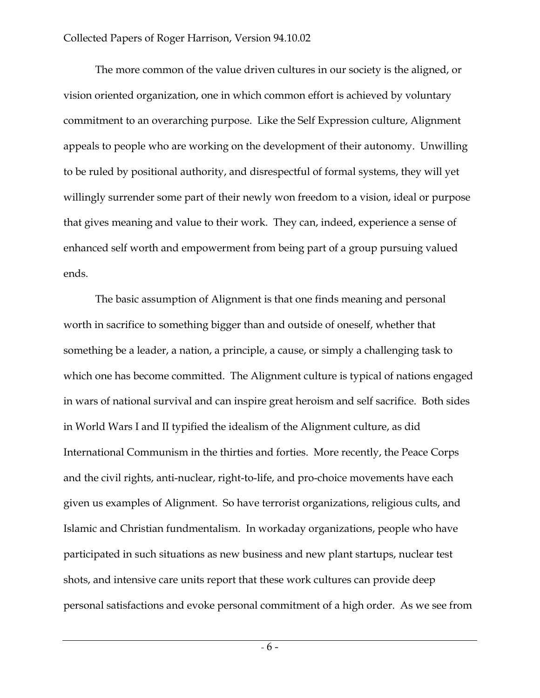The more common of the value driven cultures in our society is the aligned, or vision oriented organization, one in which common effort is achieved by voluntary commitment to an overarching purpose. Like the Self Expression culture, Alignment appeals to people who are working on the development of their autonomy. Unwilling to be ruled by positional authority, and disrespectful of formal systems, they will yet willingly surrender some part of their newly won freedom to a vision, ideal or purpose that gives meaning and value to their work. They can, indeed, experience a sense of enhanced self worth and empowerment from being part of a group pursuing valued ends.

The basic assumption of Alignment is that one finds meaning and personal worth in sacrifice to something bigger than and outside of oneself, whether that something be a leader, a nation, a principle, a cause, or simply a challenging task to which one has become committed. The Alignment culture is typical of nations engaged in wars of national survival and can inspire great heroism and self sacrifice. Both sides in World Wars I and II typified the idealism of the Alignment culture, as did International Communism in the thirties and forties. More recently, the Peace Corps and the civil rights, anti-nuclear, right-to-life, and pro-choice movements have each given us examples of Alignment. So have terrorist organizations, religious cults, and Islamic and Christian fundmentalism. In workaday organizations, people who have participated in such situations as new business and new plant startups, nuclear test shots, and intensive care units report that these work cultures can provide deep personal satisfactions and evoke personal commitment of a high order. As we see from

*-* 6 -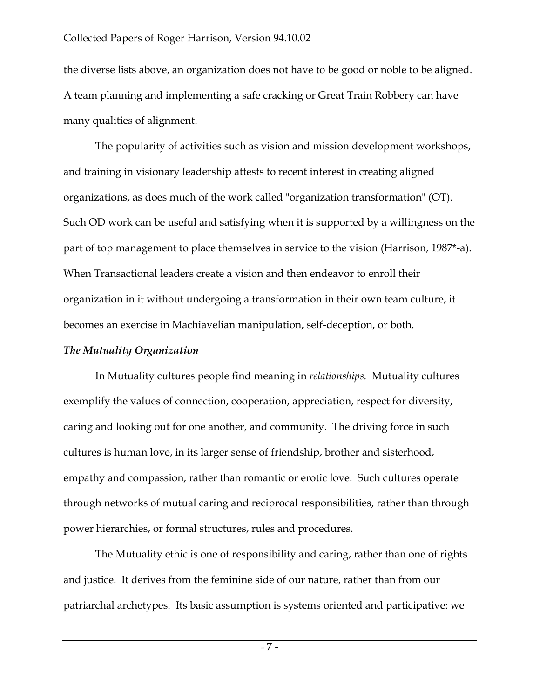the diverse lists above, an organization does not have to be good or noble to be aligned. A team planning and implementing a safe cracking or Great Train Robbery can have many qualities of alignment.

The popularity of activities such as vision and mission development workshops, and training in visionary leadership attests to recent interest in creating aligned organizations, as does much of the work called "organization transformation" (OT). Such OD work can be useful and satisfying when it is supported by a willingness on the part of top management to place themselves in service to the vision (Harrison, 1987\*-a). When Transactional leaders create a vision and then endeavor to enroll their organization in it without undergoing a transformation in their own team culture, it becomes an exercise in Machiavelian manipulation, self-deception, or both.

### *The Mutuality Organization*

In Mutuality cultures people find meaning in *relationships.* Mutuality cultures exemplify the values of connection, cooperation, appreciation, respect for diversity, caring and looking out for one another, and community. The driving force in such cultures is human love, in its larger sense of friendship, brother and sisterhood, empathy and compassion, rather than romantic or erotic love. Such cultures operate through networks of mutual caring and reciprocal responsibilities, rather than through power hierarchies, or formal structures, rules and procedures.

The Mutuality ethic is one of responsibility and caring, rather than one of rights and justice. It derives from the feminine side of our nature, rather than from our patriarchal archetypes. Its basic assumption is systems oriented and participative: we

*-* 7 -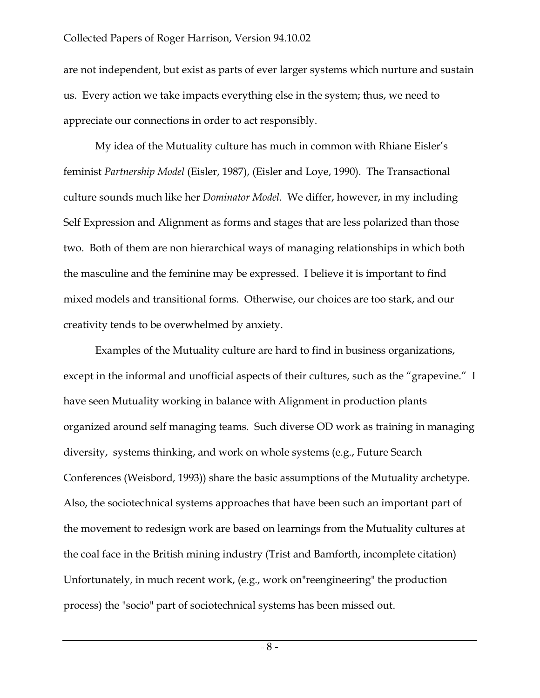are not independent, but exist as parts of ever larger systems which nurture and sustain us. Every action we take impacts everything else in the system; thus, we need to appreciate our connections in order to act responsibly.

My idea of the Mutuality culture has much in common with Rhiane Eisler's feminist *Partnership Model* (Eisler, 1987), (Eisler and Loye, 1990). The Transactional culture sounds much like her *Dominator Model.* We differ, however, in my including Self Expression and Alignment as forms and stages that are less polarized than those two. Both of them are non hierarchical ways of managing relationships in which both the masculine and the feminine may be expressed. I believe it is important to find mixed models and transitional forms. Otherwise, our choices are too stark, and our creativity tends to be overwhelmed by anxiety.

Examples of the Mutuality culture are hard to find in business organizations, except in the informal and unofficial aspects of their cultures, such as the "grapevine." I have seen Mutuality working in balance with Alignment in production plants organized around self managing teams. Such diverse OD work as training in managing diversity, systems thinking, and work on whole systems (e.g., Future Search Conferences (Weisbord, 1993)) share the basic assumptions of the Mutuality archetype. Also, the sociotechnical systems approaches that have been such an important part of the movement to redesign work are based on learnings from the Mutuality cultures at the coal face in the British mining industry (Trist and Bamforth, incomplete citation) Unfortunately, in much recent work, (e.g., work on"reengineering" the production process) the "socio" part of sociotechnical systems has been missed out.

*-* 8 -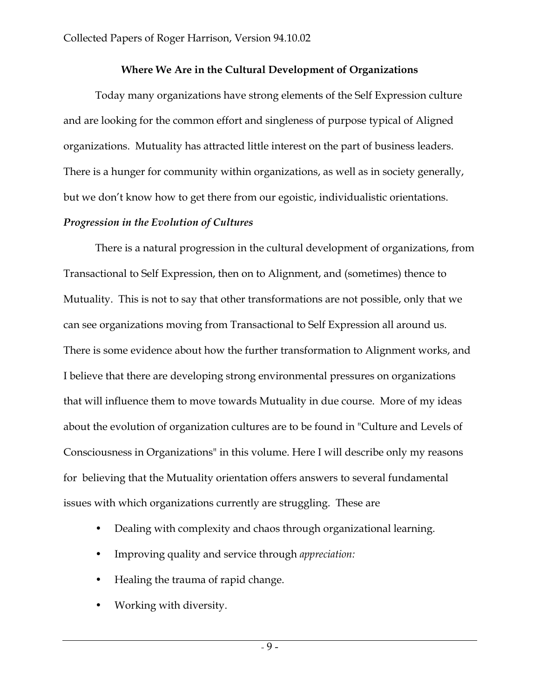# **Where We Are in the Cultural Development of Organizations**

Today many organizations have strong elements of the Self Expression culture and are looking for the common effort and singleness of purpose typical of Aligned organizations. Mutuality has attracted little interest on the part of business leaders. There is a hunger for community within organizations, as well as in society generally, but we don't know how to get there from our egoistic, individualistic orientations.

# *Progression in the Evolution of Cultures*

There is a natural progression in the cultural development of organizations, from Transactional to Self Expression, then on to Alignment, and (sometimes) thence to Mutuality. This is not to say that other transformations are not possible, only that we can see organizations moving from Transactional to Self Expression all around us. There is some evidence about how the further transformation to Alignment works, and I believe that there are developing strong environmental pressures on organizations that will influence them to move towards Mutuality in due course. More of my ideas about the evolution of organization cultures are to be found in "Culture and Levels of Consciousness in Organizations" in this volume. Here I will describe only my reasons for believing that the Mutuality orientation offers answers to several fundamental issues with which organizations currently are struggling. These are

- Dealing with complexity and chaos through organizational learning.
- Improving quality and service through *appreciation:*
- Healing the trauma of rapid change.
- Working with diversity.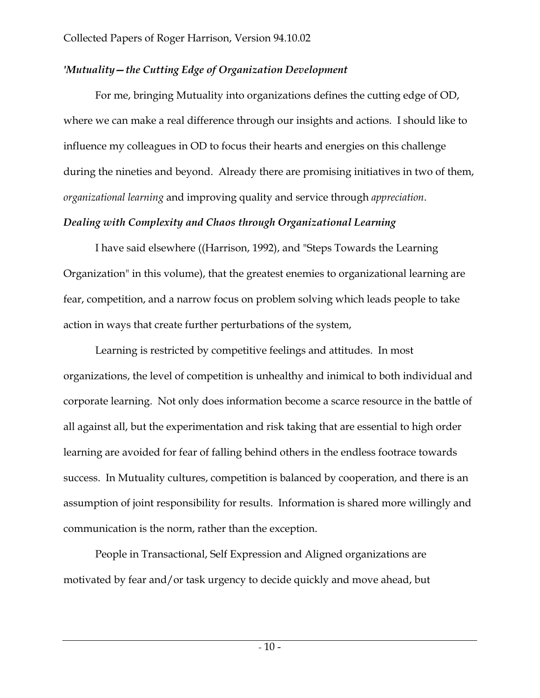# *'Mutuality—the Cutting Edge of Organization Development*

For me, bringing Mutuality into organizations defines the cutting edge of OD, where we can make a real difference through our insights and actions. I should like to influence my colleagues in OD to focus their hearts and energies on this challenge during the nineties and beyond. Already there are promising initiatives in two of them, *organizational learning* and improving quality and service through *appreciation*.

# *Dealing with Complexity and Chaos through Organizational Learning*

I have said elsewhere ((Harrison, 1992), and "Steps Towards the Learning Organization" in this volume), that the greatest enemies to organizational learning are fear, competition, and a narrow focus on problem solving which leads people to take action in ways that create further perturbations of the system,

Learning is restricted by competitive feelings and attitudes. In most organizations, the level of competition is unhealthy and inimical to both individual and corporate learning. Not only does information become a scarce resource in the battle of all against all, but the experimentation and risk taking that are essential to high order learning are avoided for fear of falling behind others in the endless footrace towards success. In Mutuality cultures, competition is balanced by cooperation, and there is an assumption of joint responsibility for results. Information is shared more willingly and communication is the norm, rather than the exception.

People in Transactional, Self Expression and Aligned organizations are motivated by fear and/or task urgency to decide quickly and move ahead, but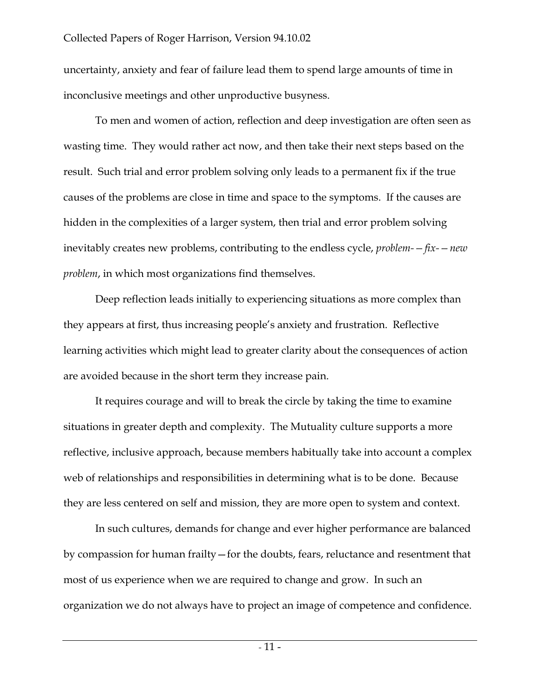uncertainty, anxiety and fear of failure lead them to spend large amounts of time in inconclusive meetings and other unproductive busyness.

To men and women of action, reflection and deep investigation are often seen as wasting time. They would rather act now, and then take their next steps based on the result. Such trial and error problem solving only leads to a permanent fix if the true causes of the problems are close in time and space to the symptoms. If the causes are hidden in the complexities of a larger system, then trial and error problem solving inevitably creates new problems, contributing to the endless cycle, *problem-—fix-—new problem*, in which most organizations find themselves.

Deep reflection leads initially to experiencing situations as more complex than they appears at first, thus increasing people's anxiety and frustration. Reflective learning activities which might lead to greater clarity about the consequences of action are avoided because in the short term they increase pain.

It requires courage and will to break the circle by taking the time to examine situations in greater depth and complexity. The Mutuality culture supports a more reflective, inclusive approach, because members habitually take into account a complex web of relationships and responsibilities in determining what is to be done. Because they are less centered on self and mission, they are more open to system and context.

In such cultures, demands for change and ever higher performance are balanced by compassion for human frailty—for the doubts, fears, reluctance and resentment that most of us experience when we are required to change and grow. In such an organization we do not always have to project an image of competence and confidence.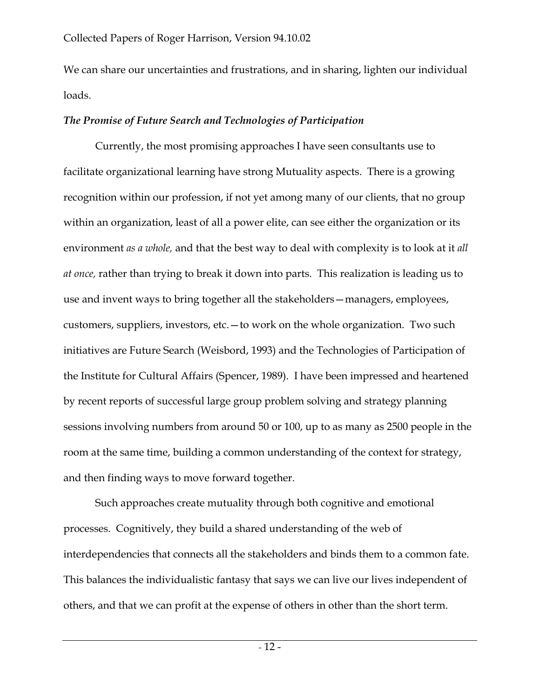We can share our uncertainties and frustrations, and in sharing, lighten our individual loads.

# *The Promise of Future Search and Technologies of Participation*

Currently, the most promising approaches I have seen consultants use to facilitate organizational learning have strong Mutuality aspects. There is a growing recognition within our profession, if not yet among many of our clients, that no group within an organization, least of all a power elite, can see either the organization or its environment *as a whole,* and that the best way to deal with complexity is to look at it *all at once,* rather than trying to break it down into parts. This realization is leading us to use and invent ways to bring together all the stakeholders—managers, employees, customers, suppliers, investors, etc.—to work on the whole organization. Two such initiatives are Future Search (Weisbord, 1993) and the Technologies of Participation of the Institute for Cultural Affairs (Spencer, 1989). I have been impressed and heartened by recent reports of successful large group problem solving and strategy planning sessions involving numbers from around 50 or 100, up to as many as 2500 people in the room at the same time, building a common understanding of the context for strategy, and then finding ways to move forward together.

Such approaches create mutuality through both cognitive and emotional processes. Cognitively, they build a shared understanding of the web of interdependencies that connects all the stakeholders and binds them to a common fate. This balances the individualistic fantasy that says we can live our lives independent of others, and that we can profit at the expense of others in other than the short term.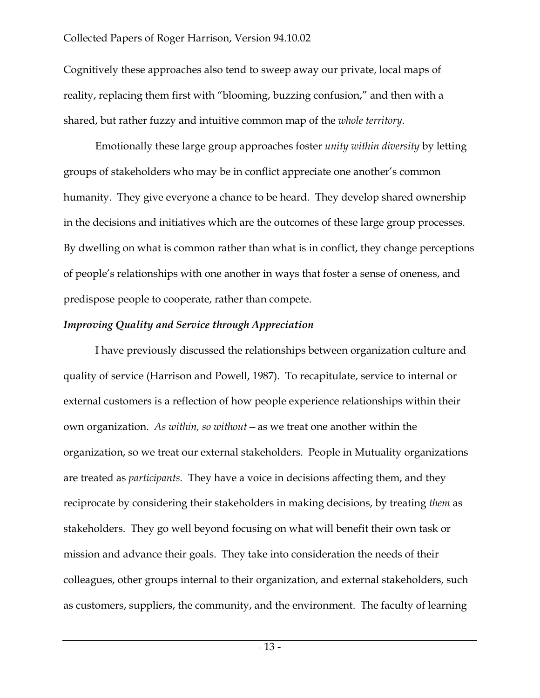Cognitively these approaches also tend to sweep away our private, local maps of reality, replacing them first with "blooming, buzzing confusion," and then with a shared, but rather fuzzy and intuitive common map of the *whole territory*.

Emotionally these large group approaches foster *unity within diversity* by letting groups of stakeholders who may be in conflict appreciate one another's common humanity. They give everyone a chance to be heard. They develop shared ownership in the decisions and initiatives which are the outcomes of these large group processes. By dwelling on what is common rather than what is in conflict, they change perceptions of people's relationships with one another in ways that foster a sense of oneness, and predispose people to cooperate, rather than compete.

### *Improving Quality and Service through Appreciation*

I have previously discussed the relationships between organization culture and quality of service (Harrison and Powell, 1987). To recapitulate, service to internal or external customers is a reflection of how people experience relationships within their own organization. *As within, so without—*as we treat one another within the organization, so we treat our external stakeholders. People in Mutuality organizations are treated as *participants.* They have a voice in decisions affecting them, and they reciprocate by considering their stakeholders in making decisions, by treating *them* as stakeholders. They go well beyond focusing on what will benefit their own task or mission and advance their goals. They take into consideration the needs of their colleagues, other groups internal to their organization, and external stakeholders, such as customers, suppliers, the community, and the environment. The faculty of learning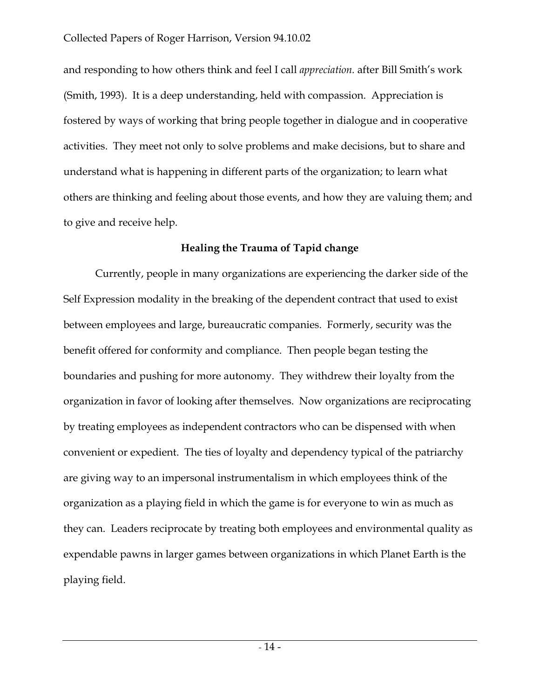and responding to how others think and feel I call *appreciation.* after Bill Smith's work (Smith, 1993). It is a deep understanding, held with compassion. Appreciation is fostered by ways of working that bring people together in dialogue and in cooperative activities. They meet not only to solve problems and make decisions, but to share and understand what is happening in different parts of the organization; to learn what others are thinking and feeling about those events, and how they are valuing them; and to give and receive help.

# **Healing the Trauma of Tapid change**

Currently, people in many organizations are experiencing the darker side of the Self Expression modality in the breaking of the dependent contract that used to exist between employees and large, bureaucratic companies. Formerly, security was the benefit offered for conformity and compliance. Then people began testing the boundaries and pushing for more autonomy. They withdrew their loyalty from the organization in favor of looking after themselves. Now organizations are reciprocating by treating employees as independent contractors who can be dispensed with when convenient or expedient. The ties of loyalty and dependency typical of the patriarchy are giving way to an impersonal instrumentalism in which employees think of the organization as a playing field in which the game is for everyone to win as much as they can. Leaders reciprocate by treating both employees and environmental quality as expendable pawns in larger games between organizations in which Planet Earth is the playing field.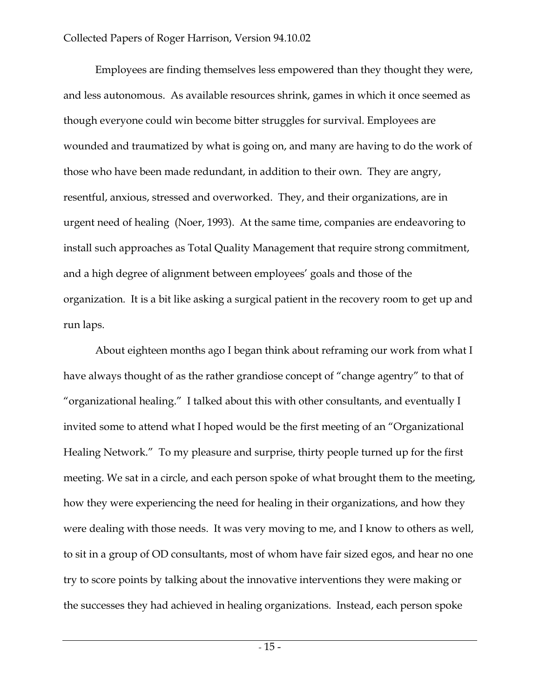Employees are finding themselves less empowered than they thought they were, and less autonomous. As available resources shrink, games in which it once seemed as though everyone could win become bitter struggles for survival. Employees are wounded and traumatized by what is going on, and many are having to do the work of those who have been made redundant, in addition to their own. They are angry, resentful, anxious, stressed and overworked. They, and their organizations, are in urgent need of healing (Noer, 1993). At the same time, companies are endeavoring to install such approaches as Total Quality Management that require strong commitment, and a high degree of alignment between employees' goals and those of the organization. It is a bit like asking a surgical patient in the recovery room to get up and run laps.

About eighteen months ago I began think about reframing our work from what I have always thought of as the rather grandiose concept of "change agentry" to that of "organizational healing." I talked about this with other consultants, and eventually I invited some to attend what I hoped would be the first meeting of an "Organizational Healing Network." To my pleasure and surprise, thirty people turned up for the first meeting. We sat in a circle, and each person spoke of what brought them to the meeting, how they were experiencing the need for healing in their organizations, and how they were dealing with those needs. It was very moving to me, and I know to others as well, to sit in a group of OD consultants, most of whom have fair sized egos, and hear no one try to score points by talking about the innovative interventions they were making or the successes they had achieved in healing organizations. Instead, each person spoke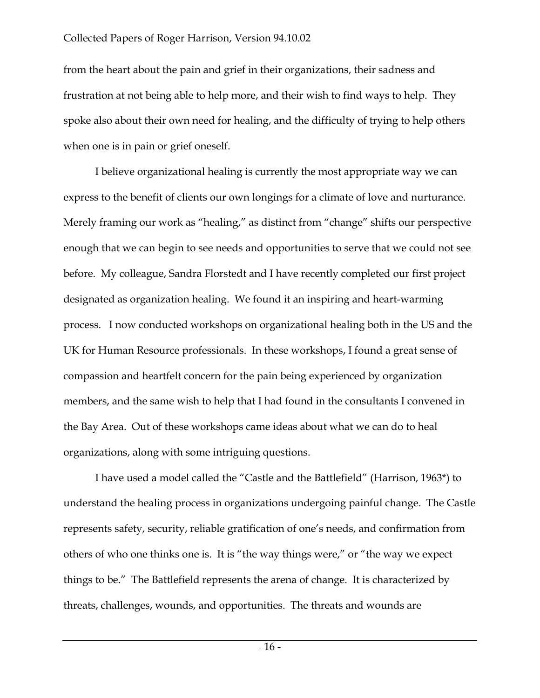from the heart about the pain and grief in their organizations, their sadness and frustration at not being able to help more, and their wish to find ways to help. They spoke also about their own need for healing, and the difficulty of trying to help others when one is in pain or grief oneself.

I believe organizational healing is currently the most appropriate way we can express to the benefit of clients our own longings for a climate of love and nurturance. Merely framing our work as "healing," as distinct from "change" shifts our perspective enough that we can begin to see needs and opportunities to serve that we could not see before. My colleague, Sandra Florstedt and I have recently completed our first project designated as organization healing. We found it an inspiring and heart-warming process. I now conducted workshops on organizational healing both in the US and the UK for Human Resource professionals. In these workshops, I found a great sense of compassion and heartfelt concern for the pain being experienced by organization members, and the same wish to help that I had found in the consultants I convened in the Bay Area. Out of these workshops came ideas about what we can do to heal organizations, along with some intriguing questions.

I have used a model called the "Castle and the Battlefield" (Harrison, 1963\*) to understand the healing process in organizations undergoing painful change. The Castle represents safety, security, reliable gratification of one's needs, and confirmation from others of who one thinks one is. It is "the way things were," or "the way we expect things to be." The Battlefield represents the arena of change. It is characterized by threats, challenges, wounds, and opportunities. The threats and wounds are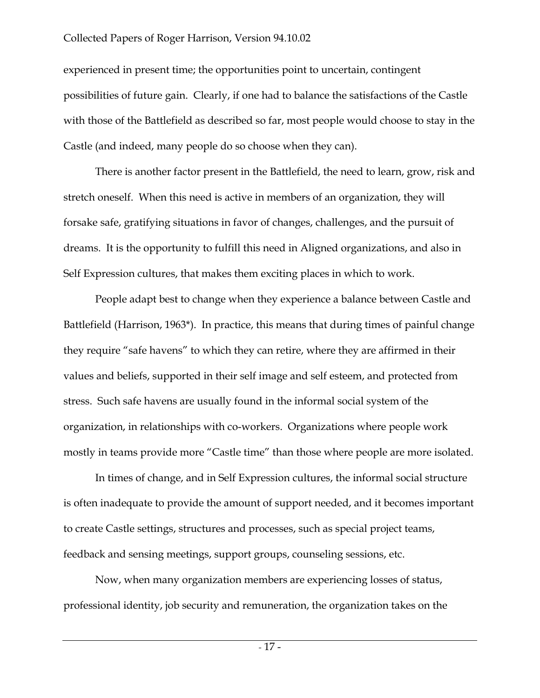experienced in present time; the opportunities point to uncertain, contingent possibilities of future gain. Clearly, if one had to balance the satisfactions of the Castle with those of the Battlefield as described so far, most people would choose to stay in the Castle (and indeed, many people do so choose when they can).

There is another factor present in the Battlefield, the need to learn, grow, risk and stretch oneself. When this need is active in members of an organization, they will forsake safe, gratifying situations in favor of changes, challenges, and the pursuit of dreams. It is the opportunity to fulfill this need in Aligned organizations, and also in Self Expression cultures, that makes them exciting places in which to work.

People adapt best to change when they experience a balance between Castle and Battlefield (Harrison, 1963<sup>\*</sup>). In practice, this means that during times of painful change they require "safe havens" to which they can retire, where they are affirmed in their values and beliefs, supported in their self image and self esteem, and protected from stress. Such safe havens are usually found in the informal social system of the organization, in relationships with co-workers. Organizations where people work mostly in teams provide more "Castle time" than those where people are more isolated.

In times of change, and in Self Expression cultures, the informal social structure is often inadequate to provide the amount of support needed, and it becomes important to create Castle settings, structures and processes, such as special project teams, feedback and sensing meetings, support groups, counseling sessions, etc.

Now, when many organization members are experiencing losses of status, professional identity, job security and remuneration, the organization takes on the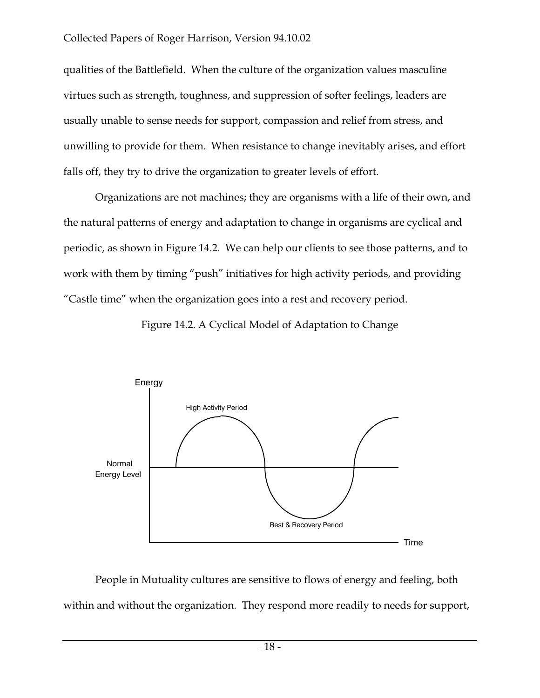qualities of the Battlefield. When the culture of the organization values masculine virtues such as strength, toughness, and suppression of softer feelings, leaders are usually unable to sense needs for support, compassion and relief from stress, and unwilling to provide for them. When resistance to change inevitably arises, and effort falls off, they try to drive the organization to greater levels of effort.

Organizations are not machines; they are organisms with a life of their own, and the natural patterns of energy and adaptation to change in organisms are cyclical and periodic, as shown in Figure 14.2. We can help our clients to see those patterns, and to work with them by timing "push" initiatives for high activity periods, and providing "Castle time" when the organization goes into a rest and recovery period.





People in Mutuality cultures are sensitive to flows of energy and feeling, both within and without the organization. They respond more readily to needs for support,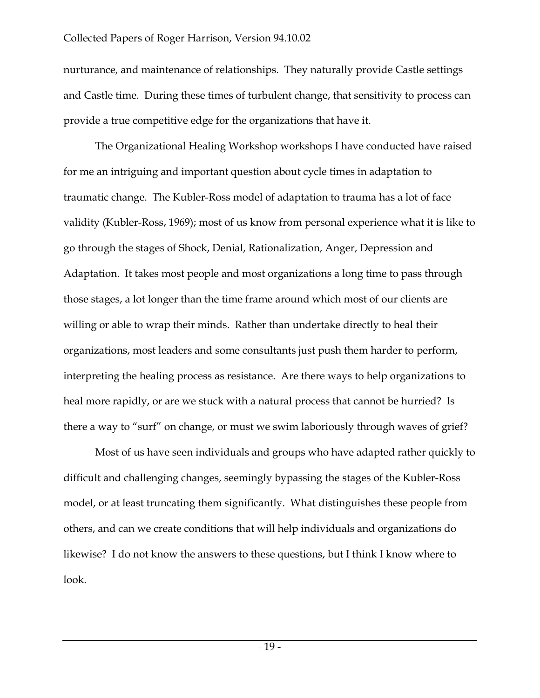nurturance, and maintenance of relationships. They naturally provide Castle settings and Castle time. During these times of turbulent change, that sensitivity to process can provide a true competitive edge for the organizations that have it.

The Organizational Healing Workshop workshops I have conducted have raised for me an intriguing and important question about cycle times in adaptation to traumatic change. The Kubler-Ross model of adaptation to trauma has a lot of face validity (Kubler-Ross, 1969); most of us know from personal experience what it is like to go through the stages of Shock, Denial, Rationalization, Anger, Depression and Adaptation. It takes most people and most organizations a long time to pass through those stages, a lot longer than the time frame around which most of our clients are willing or able to wrap their minds. Rather than undertake directly to heal their organizations, most leaders and some consultants just push them harder to perform, interpreting the healing process as resistance. Are there ways to help organizations to heal more rapidly, or are we stuck with a natural process that cannot be hurried? Is there a way to "surf" on change, or must we swim laboriously through waves of grief?

Most of us have seen individuals and groups who have adapted rather quickly to difficult and challenging changes, seemingly bypassing the stages of the Kubler-Ross model, or at least truncating them significantly. What distinguishes these people from others, and can we create conditions that will help individuals and organizations do likewise? I do not know the answers to these questions, but I think I know where to look.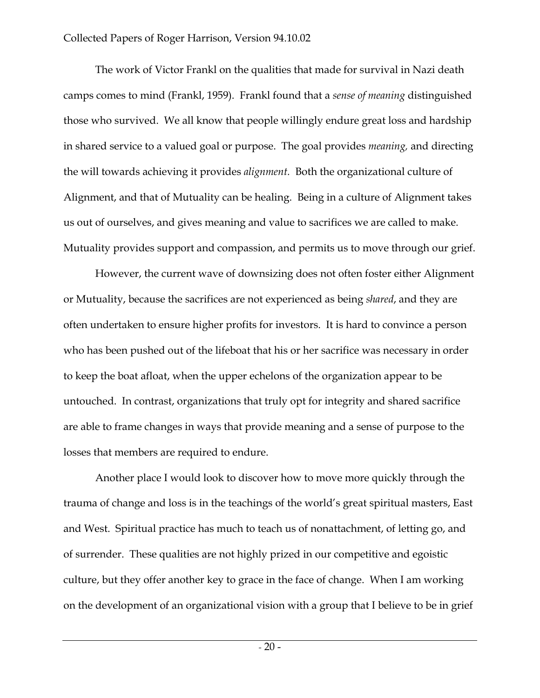The work of Victor Frankl on the qualities that made for survival in Nazi death camps comes to mind (Frankl, 1959). Frankl found that a *sense of meaning* distinguished those who survived. We all know that people willingly endure great loss and hardship in shared service to a valued goal or purpose. The goal provides *meaning,* and directing the will towards achieving it provides *alignment.* Both the organizational culture of Alignment, and that of Mutuality can be healing. Being in a culture of Alignment takes us out of ourselves, and gives meaning and value to sacrifices we are called to make. Mutuality provides support and compassion, and permits us to move through our grief.

However, the current wave of downsizing does not often foster either Alignment or Mutuality, because the sacrifices are not experienced as being *shared*, and they are often undertaken to ensure higher profits for investors. It is hard to convince a person who has been pushed out of the lifeboat that his or her sacrifice was necessary in order to keep the boat afloat, when the upper echelons of the organization appear to be untouched. In contrast, organizations that truly opt for integrity and shared sacrifice are able to frame changes in ways that provide meaning and a sense of purpose to the losses that members are required to endure.

Another place I would look to discover how to move more quickly through the trauma of change and loss is in the teachings of the world's great spiritual masters, East and West. Spiritual practice has much to teach us of nonattachment, of letting go, and of surrender. These qualities are not highly prized in our competitive and egoistic culture, but they offer another key to grace in the face of change. When I am working on the development of an organizational vision with a group that I believe to be in grief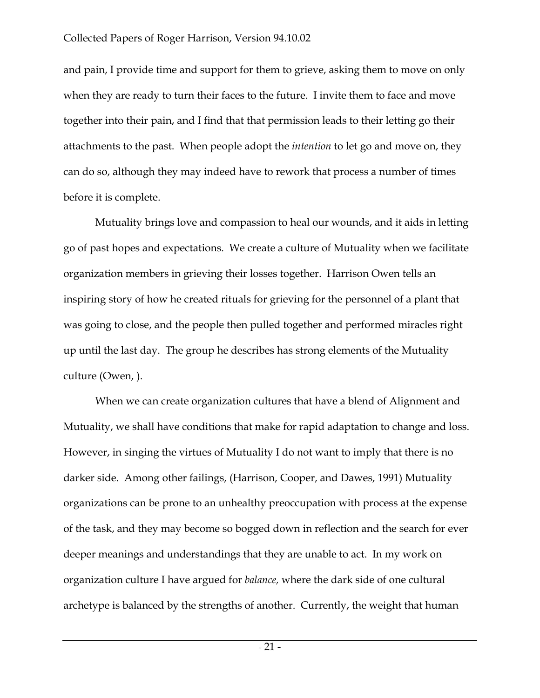and pain, I provide time and support for them to grieve, asking them to move on only when they are ready to turn their faces to the future. I invite them to face and move together into their pain, and I find that that permission leads to their letting go their attachments to the past. When people adopt the *intention* to let go and move on, they can do so, although they may indeed have to rework that process a number of times before it is complete.

Mutuality brings love and compassion to heal our wounds, and it aids in letting go of past hopes and expectations. We create a culture of Mutuality when we facilitate organization members in grieving their losses together. Harrison Owen tells an inspiring story of how he created rituals for grieving for the personnel of a plant that was going to close, and the people then pulled together and performed miracles right up until the last day. The group he describes has strong elements of the Mutuality culture (Owen, ).

When we can create organization cultures that have a blend of Alignment and Mutuality, we shall have conditions that make for rapid adaptation to change and loss. However, in singing the virtues of Mutuality I do not want to imply that there is no darker side. Among other failings, (Harrison, Cooper, and Dawes, 1991) Mutuality organizations can be prone to an unhealthy preoccupation with process at the expense of the task, and they may become so bogged down in reflection and the search for ever deeper meanings and understandings that they are unable to act. In my work on organization culture I have argued for *balance,* where the dark side of one cultural archetype is balanced by the strengths of another. Currently, the weight that human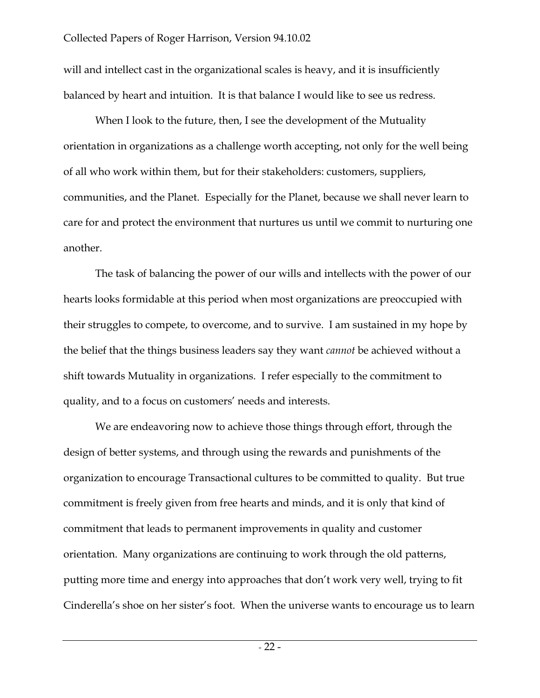will and intellect cast in the organizational scales is heavy, and it is insufficiently balanced by heart and intuition. It is that balance I would like to see us redress.

When I look to the future, then, I see the development of the Mutuality orientation in organizations as a challenge worth accepting, not only for the well being of all who work within them, but for their stakeholders: customers, suppliers, communities, and the Planet. Especially for the Planet, because we shall never learn to care for and protect the environment that nurtures us until we commit to nurturing one another.

The task of balancing the power of our wills and intellects with the power of our hearts looks formidable at this period when most organizations are preoccupied with their struggles to compete, to overcome, and to survive. I am sustained in my hope by the belief that the things business leaders say they want *cannot* be achieved without a shift towards Mutuality in organizations. I refer especially to the commitment to quality, and to a focus on customers' needs and interests.

We are endeavoring now to achieve those things through effort, through the design of better systems, and through using the rewards and punishments of the organization to encourage Transactional cultures to be committed to quality. But true commitment is freely given from free hearts and minds, and it is only that kind of commitment that leads to permanent improvements in quality and customer orientation. Many organizations are continuing to work through the old patterns, putting more time and energy into approaches that don't work very well, trying to fit Cinderella's shoe on her sister's foot. When the universe wants to encourage us to learn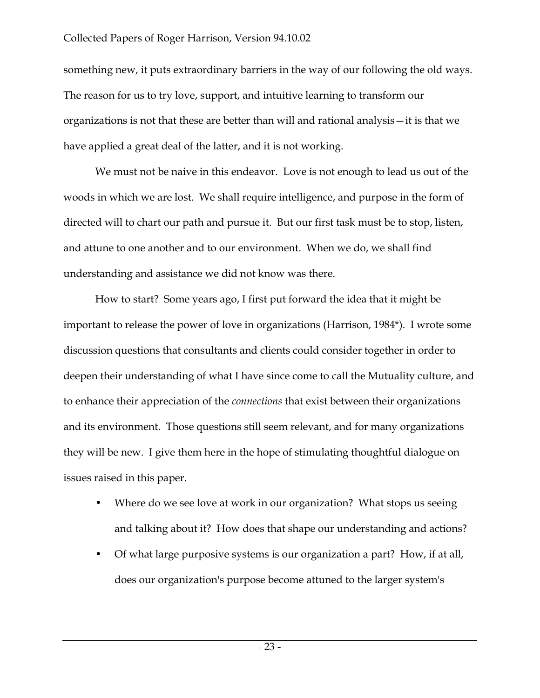something new, it puts extraordinary barriers in the way of our following the old ways. The reason for us to try love, support, and intuitive learning to transform our organizations is not that these are better than will and rational analysis—it is that we have applied a great deal of the latter, and it is not working.

We must not be naive in this endeavor. Love is not enough to lead us out of the woods in which we are lost. We shall require intelligence, and purpose in the form of directed will to chart our path and pursue it. But our first task must be to stop, listen, and attune to one another and to our environment. When we do, we shall find understanding and assistance we did not know was there.

How to start? Some years ago, I first put forward the idea that it might be important to release the power of love in organizations (Harrison, 1984\*). I wrote some discussion questions that consultants and clients could consider together in order to deepen their understanding of what I have since come to call the Mutuality culture, and to enhance their appreciation of the *connections* that exist between their organizations and its environment. Those questions still seem relevant, and for many organizations they will be new. I give them here in the hope of stimulating thoughtful dialogue on issues raised in this paper.

- Where do we see love at work in our organization? What stops us seeing and talking about it? How does that shape our understanding and actions?
- Of what large purposive systems is our organization a part? How, if at all, does our organization's purpose become attuned to the larger system's